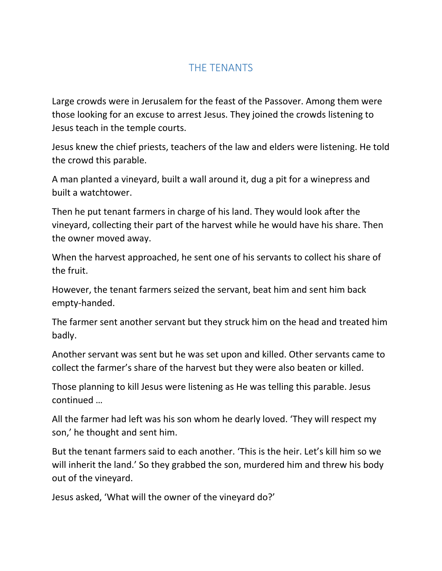## THE TENANTS

Large crowds were in Jerusalem for the feast of the Passover. Among them were those looking for an excuse to arrest Jesus. They joined the crowds listening to Jesus teach in the temple courts.

Jesus knew the chief priests, teachers of the law and elders were listening. He told the crowd this parable.

A man planted a vineyard, built a wall around it, dug a pit for a winepress and built a watchtower.

Then he put tenant farmers in charge of his land. They would look after the vineyard, collecting their part of the harvest while he would have his share. Then the owner moved away.

When the harvest approached, he sent one of his servants to collect his share of the fruit.

However, the tenant farmers seized the servant, beat him and sent him back empty-handed.

The farmer sent another servant but they struck him on the head and treated him badly.

Another servant was sent but he was set upon and killed. Other servants came to collect the farmer's share of the harvest but they were also beaten or killed.

Those planning to kill Jesus were listening as He was telling this parable. Jesus continued …

All the farmer had left was his son whom he dearly loved. 'They will respect my son,' he thought and sent him.

But the tenant farmers said to each another. 'This is the heir. Let's kill him so we will inherit the land.' So they grabbed the son, murdered him and threw his body out of the vineyard.

Jesus asked, 'What will the owner of the vineyard do?'